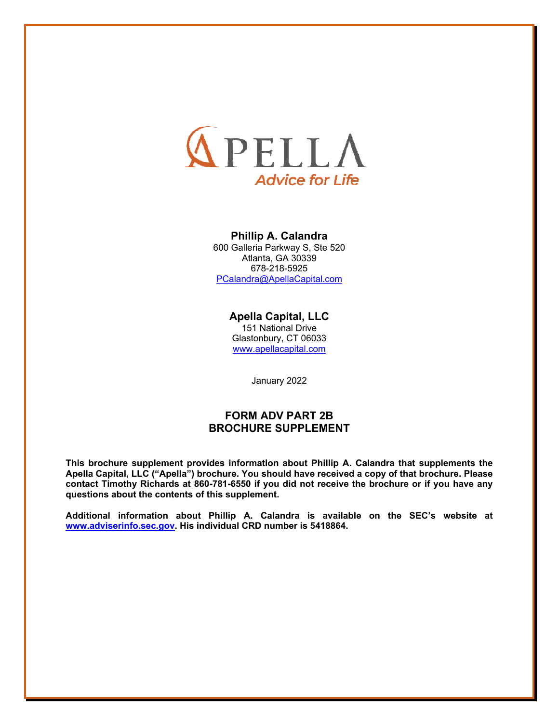

### **Phillip A. Calandra**

600 Galleria Parkway S, Ste 520 Atlanta, GA 30339 678-218-5925 PCalandra@ApellaCapital.com

### **Apella Capital, LLC**  151 National Drive Glastonbury, CT 06033

www.apellacapital.com

January 2022

## **FORM ADV PART 2B BROCHURE SUPPLEMENT**

**This brochure supplement provides information about Phillip A. Calandra that supplements the Apella Capital, LLC ("Apella") brochure. You should have received a copy of that brochure. Please contact Timothy Richards at 860-781-6550 if you did not receive the brochure or if you have any questions about the contents of this supplement.**

**Additional information about Phillip A. Calandra is available on the SEC's website at www.adviserinfo.sec.gov. His individual CRD number is 5418864.**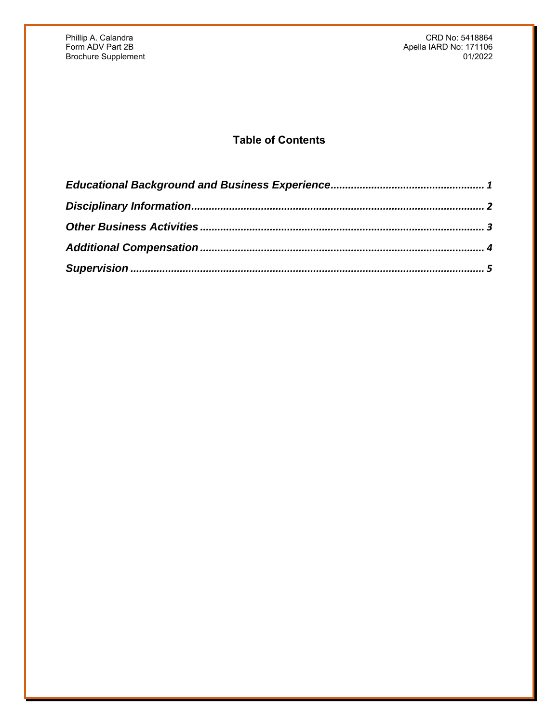Phillip A. Calandra Calandra Calandra CRD No: 5418864 Service CRD No: 5418864 Service CRD No: 5418864 Form ADV Part 2B Apella IARD No: 171106 Brochure Supplement 01/2022

# **Table of Contents**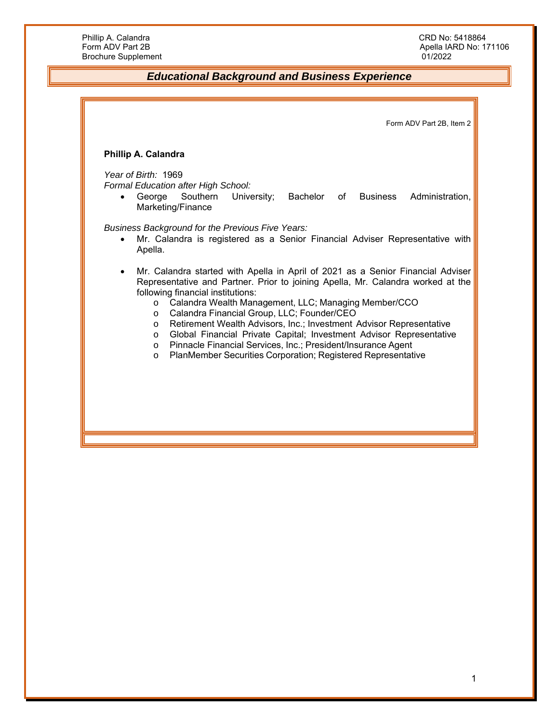## *Educational Background and Business Experience*

Form ADV Part 2B, Item 2 **Phillip A. Calandra**  *Year of Birth:* 1969 *Formal Education after High School:*  George Southern University; Bachelor of Business Administration, Marketing/Finance *Business Background for the Previous Five Years:*  Mr. Calandra is registered as a Senior Financial Adviser Representative with Apella. Mr. Calandra started with Apella in April of 2021 as a Senior Financial Adviser Representative and Partner. Prior to joining Apella, Mr. Calandra worked at the following financial institutions: o Calandra Wealth Management, LLC; Managing Member/CCO o Calandra Financial Group, LLC; Founder/CEO o Retirement Wealth Advisors, Inc.; Investment Advisor Representative o Global Financial Private Capital; Investment Advisor Representative o Pinnacle Financial Services, Inc.; President/Insurance Agent o PlanMember Securities Corporation; Registered Representative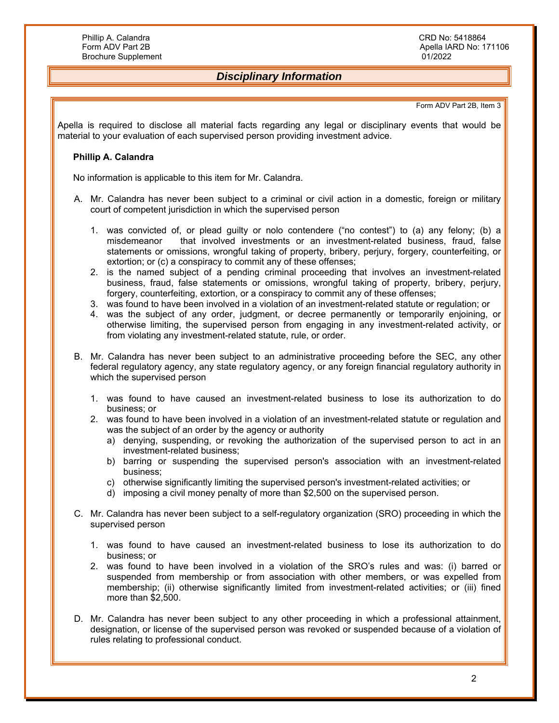# *Disciplinary Information*

#### Form ADV Part 2B, Item 3

Apella is required to disclose all material facts regarding any legal or disciplinary events that would be material to your evaluation of each supervised person providing investment advice.

#### **Phillip A. Calandra**

No information is applicable to this item for Mr. Calandra.

- A. Mr. Calandra has never been subject to a criminal or civil action in a domestic, foreign or military court of competent jurisdiction in which the supervised person
	- 1. was convicted of, or plead guilty or nolo contendere ("no contest") to (a) any felony; (b) a misdemeanor that involved investments or an investment-related business, fraud, false statements or omissions, wrongful taking of property, bribery, perjury, forgery, counterfeiting, or extortion; or (c) a conspiracy to commit any of these offenses;
	- 2. is the named subject of a pending criminal proceeding that involves an investment-related business, fraud, false statements or omissions, wrongful taking of property, bribery, perjury, forgery, counterfeiting, extortion, or a conspiracy to commit any of these offenses;
	- 3. was found to have been involved in a violation of an investment-related statute or regulation; or
	- 4. was the subject of any order, judgment, or decree permanently or temporarily enjoining, or otherwise limiting, the supervised person from engaging in any investment-related activity, or from violating any investment-related statute, rule, or order.
- B. Mr. Calandra has never been subject to an administrative proceeding before the SEC, any other federal regulatory agency, any state regulatory agency, or any foreign financial regulatory authority in which the supervised person
	- 1. was found to have caused an investment-related business to lose its authorization to do business; or
	- 2. was found to have been involved in a violation of an investment-related statute or regulation and was the subject of an order by the agency or authority
		- a) denying, suspending, or revoking the authorization of the supervised person to act in an investment-related business;
		- b) barring or suspending the supervised person's association with an investment-related business;
		- c) otherwise significantly limiting the supervised person's investment-related activities; or
		- d) imposing a civil money penalty of more than \$2,500 on the supervised person.
- C. Mr. Calandra has never been subject to a self-regulatory organization (SRO) proceeding in which the supervised person
	- 1. was found to have caused an investment-related business to lose its authorization to do business; or
	- 2. was found to have been involved in a violation of the SRO's rules and was: (i) barred or suspended from membership or from association with other members, or was expelled from membership; (ii) otherwise significantly limited from investment-related activities; or (iii) fined more than \$2,500.
- D. Mr. Calandra has never been subject to any other proceeding in which a professional attainment, designation, or license of the supervised person was revoked or suspended because of a violation of rules relating to professional conduct.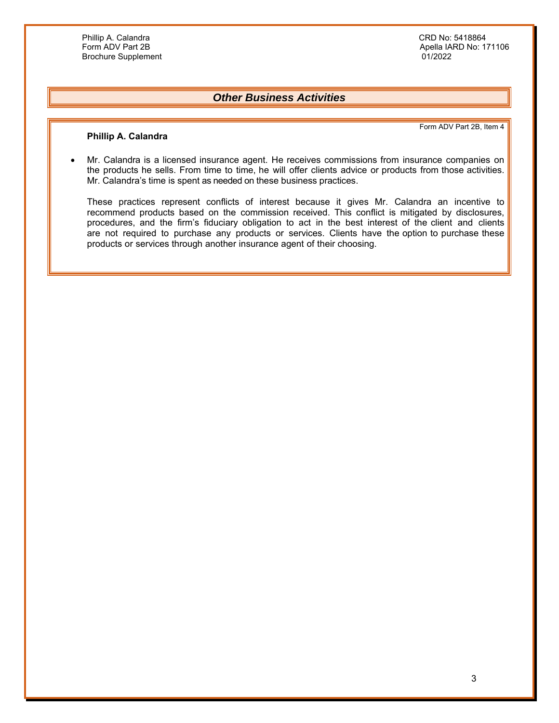Apella IARD No: 171106<br>01/2022

## *Other Business Activities*

Form ADV Part 2B, Item 4

### **Phillip A. Calandra**

 Mr. Calandra is a licensed insurance agent. He receives commissions from insurance companies on the products he sells. From time to time, he will offer clients advice or products from those activities. Mr. Calandra's time is spent as needed on these business practices.

These practices represent conflicts of interest because it gives Mr. Calandra an incentive to recommend products based on the commission received. This conflict is mitigated by disclosures, procedures, and the firm's fiduciary obligation to act in the best interest of the client and clients are not required to purchase any products or services. Clients have the option to purchase these products or services through another insurance agent of their choosing.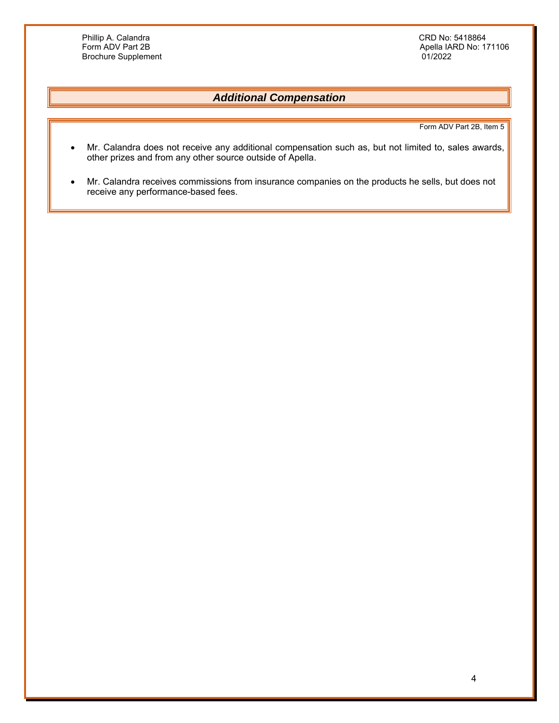Phillip A. Calandra Calandra CRD No: 5418864<br>
Form ADV Part 2B<br>
CRD No: 17 Brochure Supplement

Apella IARD No: 171106<br>01/2022

# *Additional Compensation*

Form ADV Part 2B, Item 5

- Mr. Calandra does not receive any additional compensation such as, but not limited to, sales awards, other prizes and from any other source outside of Apella.
- Mr. Calandra receives commissions from insurance companies on the products he sells, but does not receive any performance-based fees.